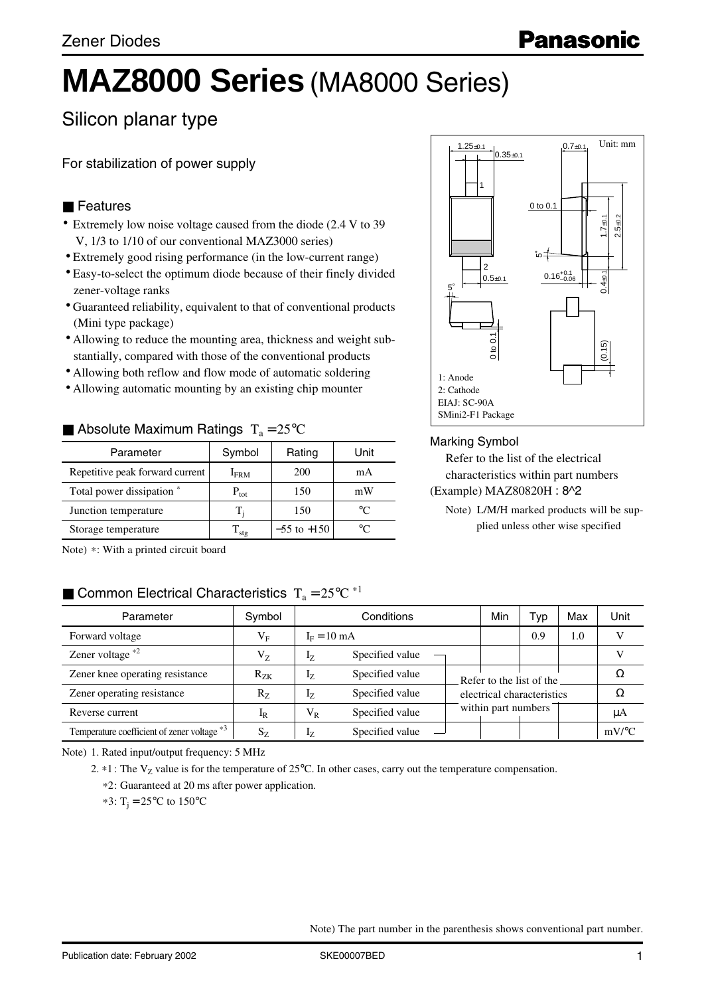# **MAZ8000 Series** (MA8000 Series)

# Silicon planar type

For stabilization of power supply

#### ■ Features

- Extremely low noise voltage caused from the diode (2.4 V to 39 V, 1/3 to 1/10 of our conventional MAZ3000 series)
- Extremely good rising performance (in the low-current range)
- Easy-to-select the optimum diode because of their finely divided zener-voltage ranks
- Guaranteed reliability, equivalent to that of conventional products (Mini type package)
- Allowing to reduce the mounting area, thickness and weight substantially, compared with those of the conventional products
- Allowing both reflow and flow mode of automatic soldering
- Allowing automatic mounting by an existing chip mounter

#### Absolute Maximum Ratings  $T_a = 25^{\circ}C$

| Parameter                       | Symbol        | Rating          | Unit |
|---------------------------------|---------------|-----------------|------|
| Repetitive peak forward current | $I_{\rm FRM}$ | 200             | mA   |
| Total power dissipation *       | $P_{\rm tot}$ | 150             | mW   |
| Junction temperature            |               | 150             | ഀ    |
| Storage temperature             | stg           | $-55$ to $+150$ |      |



#### Marking Symbol

Refer to the list of the electrical characteristics within part numbers (Example) MAZ80820H : 8^2

Note) L/M/H marked products will be supplied unless other wise specified

Note) \*: With a printed circuit board

# **E** Common Electrical Characteristics  $T_a = 25^{\circ}C^{*1}$

| Parameter                                   | Symbol      |                       | Conditions      | Min                        | Гур                 | Max | Unit |                     |
|---------------------------------------------|-------------|-----------------------|-----------------|----------------------------|---------------------|-----|------|---------------------|
| Forward voltage                             | $\rm V_F$   | $I_F = 10 \text{ mA}$ |                 |                            | 0.9                 | 1.0 |      |                     |
| Zener voltage $*2$                          | $\rm V_{Z}$ | 17                    | Specified value |                            |                     |     |      |                     |
| Zener knee operating resistance             | $R_{ZK}$    | 17                    | Specified value | Refer to the list of the   |                     |     |      |                     |
| Zener operating resistance                  | $R_{Z}$     | 17                    | Specified value | electrical characteristics |                     |     |      |                     |
| Reverse current                             | $I_R$       | $V_R$                 | Specified value |                            | within part numbers |     |      | μA                  |
| Temperature coefficient of zener voltage *3 | $S_{Z}$     | 17                    | Specified value |                            |                     |     |      | $mV$ <sup>o</sup> C |

Note) 1. Rated input/output frequency: 5 MHz

2.  $*1$ : The V<sub>Z</sub> value is for the temperature of 25°C. In other cases, carry out the temperature compensation.

\*2: Guaranteed at 20 ms after power application.

 $*3: T_i = 25^{\circ}C$  to 150°C

Note) The part number in the parenthesis shows conventional part number.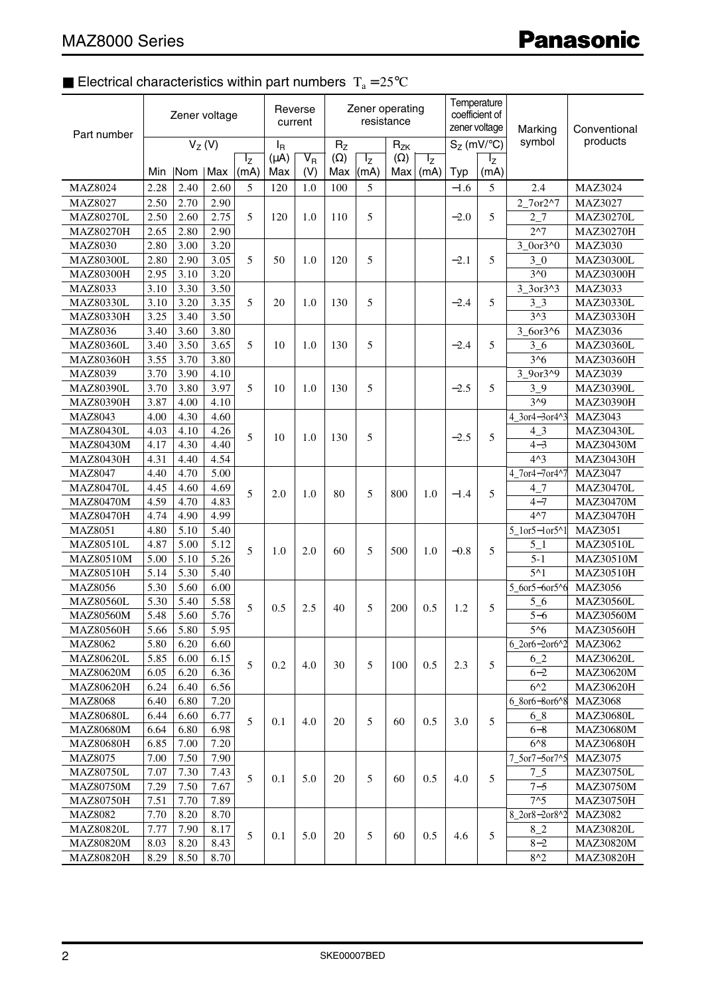# **Electrical characteristics within part numbers**  $T_a = 25^{\circ}C$

| Part number      | Zener voltage |           |          | Reverse<br>current |                  | Zener operating         | resistance        |                 | Temperature<br>coefficient of<br>zener voltage |                 | Marking       | Conventional    |                                  |                  |                  |                  |
|------------------|---------------|-----------|----------|--------------------|------------------|-------------------------|-------------------|-----------------|------------------------------------------------|-----------------|---------------|-----------------|----------------------------------|------------------|------------------|------------------|
|                  |               |           | $V_Z(V)$ |                    | $I_{\mathsf{R}}$ |                         | $R_{Z}$           |                 | $R_{ZK}$                                       |                 | $S_Z$ (mV/°C) |                 | symbol                           | products         |                  |                  |
|                  | <b>Min</b>    | Nom   Max |          | $I_{Z}$<br>(mA)    | $(\mu A)$<br>Max | $\overline{V_R}$<br>(V) | $(\Omega)$<br>Max | $I_{Z}$<br>(mA) | $(\Omega)$<br>Max                              | $I_{Z}$<br>(mA) | Typ           | $I_{Z}$<br>(mA) |                                  |                  |                  |                  |
| <b>MAZ8024</b>   | 2.28          | 2.40      | 2.60     | 5                  | 120              | 1.0                     | 100               | 5               |                                                |                 | $-1.6$        | 5               | 2.4                              | <b>MAZ3024</b>   |                  |                  |
| MAZ8027          | 2.50          | 2.70      | 2.90     |                    |                  |                         |                   |                 |                                                |                 |               |                 | 2 7or2^7                         | <b>MAZ3027</b>   |                  |                  |
| <b>MAZ80270L</b> | 2.50          | 2.60      | 2.75     | 5                  | 120              | 1.0                     | 110               | 5               |                                                |                 | $-2.0$        | 5               | 2 7                              | <b>MAZ30270L</b> |                  |                  |
| <b>MAZ80270H</b> | 2.65          | 2.80      | 2.90     |                    |                  |                         |                   |                 |                                                |                 |               |                 | 2 <sub>1</sub>                   | <b>MAZ30270H</b> |                  |                  |
| <b>MAZ8030</b>   | 2.80          | 3.00      | 3.20     |                    |                  |                         |                   |                 |                                                |                 |               |                 | 3 0or3^0                         | MAZ3030          |                  |                  |
| <b>MAZ80300L</b> | 2.80          | 2.90      | 3.05     | 5                  | 50               | 1.0                     | 120               | 5               |                                                |                 | $-2.1$        | 5               | $3_{-0}$                         | <b>MAZ30300L</b> |                  |                  |
| <b>MAZ80300H</b> | 2.95          | 3.10      | 3.20     |                    |                  |                         |                   |                 |                                                |                 |               |                 | $3^0$                            | <b>MAZ30300H</b> |                  |                  |
| MAZ8033          | 3.10          | 3.30      | 3.50     |                    |                  |                         |                   |                 |                                                |                 |               |                 | $3_{-}3$ or $3^{4}3$             | MAZ3033          |                  |                  |
| MAZ80330L        | 3.10          | 3.20      | 3.35     | 5                  | 20               | 1.0                     | 130               | 5               |                                                |                 | $-2.4$        | 5               | 3 <sub>1</sub>                   | <b>MAZ30330L</b> |                  |                  |
| <b>MAZ80330H</b> | 3.25          | 3.40      | 3.50     |                    |                  |                         |                   |                 |                                                |                 |               |                 | $3^{3}3$                         | <b>MAZ30330H</b> |                  |                  |
| MAZ8036          | 3.40          | 3.60      | 3.80     |                    |                  |                         |                   |                 |                                                |                 |               |                 | 3 6or3^6                         | <b>MAZ3036</b>   |                  |                  |
| <b>MAZ80360L</b> | 3.40          | 3.50      | 3.65     | 5                  | 10               | 1.0                     | 130               | 5               |                                                |                 | $-2.4$        | 5               | $3-6$                            | <b>MAZ30360L</b> |                  |                  |
| <b>MAZ80360H</b> | 3.55          | 3.70      | 3.80     |                    |                  |                         |                   |                 |                                                |                 |               |                 | $3^{6}$                          | <b>MAZ30360H</b> |                  |                  |
| MAZ8039          | 3.70          | 3.90      | 4.10     |                    |                  |                         |                   |                 |                                                |                 |               |                 | 3_9or3^9                         | MAZ3039          |                  |                  |
| <b>MAZ80390L</b> | 3.70          | 3.80      | 3.97     | 5                  | 10               | 1.0                     | 130               | 5               |                                                |                 | $-2.5$        | 5               | $3-9$                            | MAZ30390L        |                  |                  |
| <b>MAZ80390H</b> | 3.87          | 4.00      | 4.10     |                    |                  |                         |                   |                 |                                                |                 |               |                 | $3^{0}9$                         | MAZ30390H        |                  |                  |
| MAZ8043          | 4.00          | 4.30      | 4.60     |                    |                  |                         |                   |                 |                                                |                 |               |                 | 4 3or4-3or4^3                    | MAZ3043          |                  |                  |
| <b>MAZ80430L</b> | 4.03          | 4.10      | 4.26     | 5                  |                  |                         |                   |                 |                                                |                 |               |                 |                                  |                  | 43               | <b>MAZ30430L</b> |
| MAZ80430M        | 4.17          | 4.30      | 4.40     |                    | 10               | 1.0                     | 130               | 5               |                                                |                 | $-2.5$        | 5               | $4 - 3$                          | <b>MAZ30430M</b> |                  |                  |
| <b>MAZ80430H</b> | 4.31          | 4.40      | 4.54     |                    |                  |                         |                   |                 |                                                |                 |               |                 | $4^{\wedge}3$                    | MAZ30430H        |                  |                  |
| <b>MAZ8047</b>   | 4.40          | 4.70      | 5.00     | 5                  |                  |                         |                   |                 |                                                |                 |               |                 | 4_7or4-7or4^7                    | <b>MAZ3047</b>   |                  |                  |
| <b>MAZ80470L</b> | 4.45          | 4.60      | 4.69     |                    |                  |                         |                   |                 |                                                |                 |               |                 | 47                               | <b>MAZ30470L</b> |                  |                  |
| <b>MAZ80470M</b> | 4.59          | 4.70      | 4.83     |                    |                  | 2.0                     | 1.0               | 80              | 5                                              | 800             | 1.0           | $-1.4$          | 5                                | $4 - 7$          | <b>MAZ30470M</b> |                  |
| <b>MAZ80470H</b> | 4.74          | 4.90      | 4.99     |                    |                  |                         |                   |                 |                                                |                 |               |                 | 4 <sub>1</sub>                   | <b>MAZ30470H</b> |                  |                  |
| <b>MAZ8051</b>   | 4.80          | 5.10      | 5.40     |                    |                  |                         |                   |                 |                                                |                 |               |                 | $5\_1$ or $5-1$ or $5^{\wedge}1$ | MAZ3051          |                  |                  |
| <b>MAZ80510L</b> | 4.87          | 5.00      | 5.12     |                    | 1.0              | 2.0                     | 60                |                 |                                                | 1.0             | $-0.8$        |                 | $5_{-1}$                         | <b>MAZ30510L</b> |                  |                  |
| MAZ80510M        | 5.00          | 5.10      | 5.26     | 5                  |                  |                         |                   | 5               | 500                                            |                 |               | 5               | $5 - 1$                          | MAZ30510M        |                  |                  |
| <b>MAZ80510H</b> | 5.14          | 5.30      | 5.40     |                    |                  |                         |                   |                 |                                                |                 |               |                 | $5^{\wedge}1$                    | MAZ30510H        |                  |                  |
| <b>MAZ8056</b>   | 5.30          | 5.60      | 6.00     |                    |                  |                         |                   |                 |                                                |                 |               |                 | 5_6or5-6or5^6                    | <b>MAZ3056</b>   |                  |                  |
| <b>MAZ80560L</b> | 5.30          | 5.40      | 5.58     |                    | 0.5              | 2.5                     | 40                | 5               | 200                                            | 0.5             | 1.2           | 5               | $5\_6$                           | <b>MAZ30560L</b> |                  |                  |
| <b>MAZ80560M</b> | 5.48          | 5.60      | 5.76     | 5                  |                  |                         |                   |                 |                                                |                 |               |                 | $5 - 6$                          | <b>MAZ30560M</b> |                  |                  |
| <b>MAZ80560H</b> | 5.66          | 5.80      | 5.95     |                    |                  |                         |                   |                 |                                                |                 |               |                 | $5^{6}$                          | <b>MAZ30560H</b> |                  |                  |
| <b>MAZ8062</b>   | 5.80          | 6.20      | 6.60     |                    |                  |                         |                   | 5               |                                                |                 |               |                 | $6\_2$ or $6 - 2$ or $6^2$       | <b>MAZ3062</b>   |                  |                  |
| <b>MAZ80620L</b> | 5.85          | 6.00      | 6.15     |                    |                  |                         |                   |                 |                                                |                 | 2.3           | 5               | 62                               | <b>MAZ30620L</b> |                  |                  |
| <b>MAZ80620M</b> | 6.05          | 6.20      | 6.36     | 5                  | 0.2              | 4.0                     | 30                |                 | 100                                            | 0.5             |               |                 | $6 - 2$                          | <b>MAZ30620M</b> |                  |                  |
| <b>MAZ80620H</b> | 6.24          | 6.40      | 6.56     |                    |                  |                         |                   |                 |                                                |                 |               |                 | 6 <sup>2</sup>                   | MAZ30620H        |                  |                  |
| <b>MAZ8068</b>   | 6.40          | 6.80      | 7.20     |                    |                  |                         |                   |                 |                                                |                 |               |                 | 6 8or6-8or6^8                    | <b>MAZ3068</b>   |                  |                  |
| <b>MAZ80680L</b> | 6.44          | 6.60      | 6.77     |                    |                  |                         |                   |                 |                                                |                 |               |                 | $6^{8}$                          | <b>MAZ30680L</b> |                  |                  |
| <b>MAZ80680M</b> | 6.64          | 6.80      | 6.98     | 5                  | 0.1              | 4.0                     | 20                | 5               | 60                                             | 0.5             | 3.0           | 5               | $6 - 8$                          | <b>MAZ30680M</b> |                  |                  |
| MAZ80680H        | 6.85          | 7.00      | 7.20     |                    |                  |                         |                   |                 |                                                |                 |               |                 | $6^{\wedge}8$                    | <b>MAZ30680H</b> |                  |                  |
| MAZ8075          | 7.00          | 7.50      | 7.90     |                    |                  |                         |                   |                 |                                                |                 |               |                 | 7_5or7-5or7^5                    | <b>MAZ3075</b>   |                  |                  |
| <b>MAZ80750L</b> | 7.07          | 7.30      | 7.43     |                    |                  |                         |                   |                 |                                                |                 |               |                 | $7\_5$                           | <b>MAZ30750L</b> |                  |                  |
| <b>MAZ80750M</b> | 7.29          | 7.50      | 7.67     | 5                  | 0.1              | 5.0                     | 20                | 5               | 60                                             | 0.5             | 4.0           | 5               | $7 - 5$                          | <b>MAZ30750M</b> |                  |                  |
| <b>MAZ80750H</b> | 7.51          | 7.70      | 7.89     |                    |                  |                         |                   |                 |                                                |                 |               |                 | 7 <sub>5</sub>                   | <b>MAZ30750H</b> |                  |                  |
| <b>MAZ8082</b>   | 7.70          | 8.20      | 8.70     |                    |                  |                         |                   |                 |                                                |                 |               |                 | 8 2or8-2or8^2                    | <b>MAZ3082</b>   |                  |                  |
| <b>MAZ80820L</b> | 7.77          | 7.90      | 8.17     |                    |                  |                         |                   |                 |                                                |                 |               |                 | $8_{-2}$                         | <b>MAZ30820L</b> |                  |                  |
| <b>MAZ80820M</b> | 8.03          | 8.20      | 8.43     | 5                  | 0.1              | 5.0                     | 20                | 5               | 60                                             | 0.5             | 4.6           | 5               | $8 - 2$                          | <b>MAZ30820M</b> |                  |                  |
| MAZ80820H        | 8.29          | 8.50      | 8.70     |                    |                  |                         |                   |                 |                                                |                 |               |                 | $8^{\prime\prime}2$              | MAZ30820H        |                  |                  |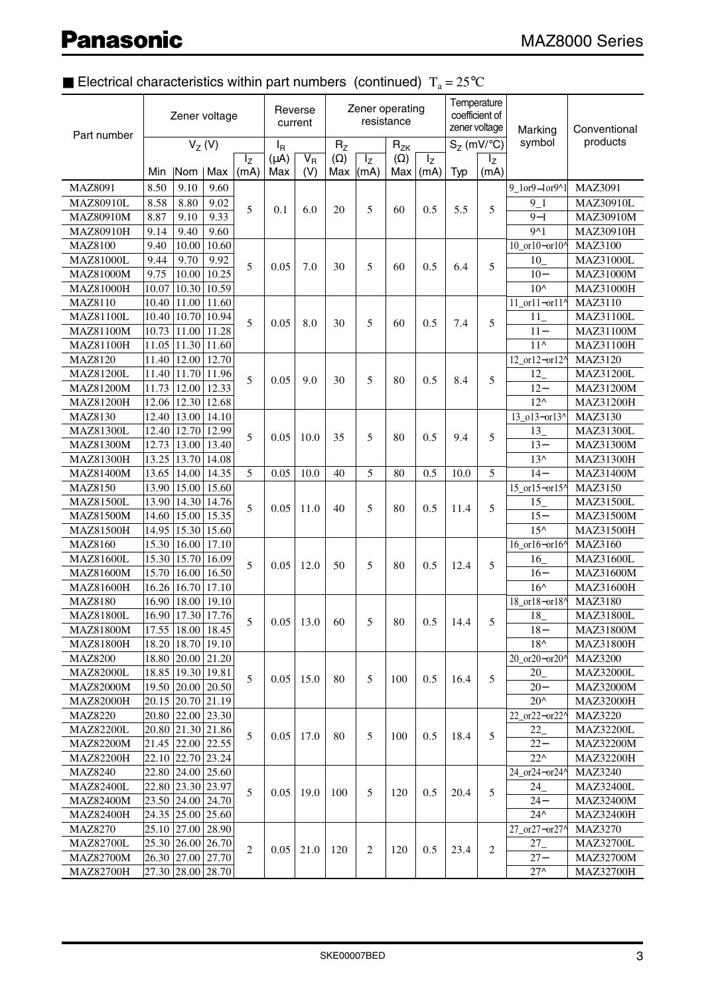# **Electrical characteristics within part numbers (continued)**  $T_a = 25^{\circ}C$

| Part number                        | Zener voltage |                       |               | Reverse<br>current |                |                  |                | Zener operating<br>resistance |            |         | Temperature<br>coefficient of<br>zener voltage | Marking        | Conventional   |                                    |
|------------------------------------|---------------|-----------------------|---------------|--------------------|----------------|------------------|----------------|-------------------------------|------------|---------|------------------------------------------------|----------------|----------------|------------------------------------|
|                                    |               |                       | $V_Z(V)$      |                    | l <sub>R</sub> |                  | R <sub>z</sub> |                               | $R_{ZK}$   |         |                                                | $S_Z$ (mV/°C)  | symbol         | products                           |
|                                    |               |                       |               | $I_{Z}$            | $(\mu A)$      | $\overline{V_R}$ | $(\Omega)$     | $I_{Z}$                       | $(\Omega)$ | $I_{Z}$ |                                                | $I_{Z}$        |                |                                    |
|                                    | Min           | Nom                   | Max           | (mA)               | Max            | (V)              | Max            | (mA)                          | Max        | (mA)    | Typ                                            | (mA)           |                |                                    |
| MAZ8091                            | 8.50          | 9.10                  | 9.60          |                    |                |                  |                |                               |            |         |                                                |                | 9 1or9-1or9^1  | MAZ3091                            |
| <b>MAZ80910L</b>                   | 8.58          | 8.80                  | 9.02          | 5                  | 0.1            | 6.0              | 20             | 5                             | 60         | 0.5     | 5.5                                            | 5              | 9 1            | MAZ30910L                          |
| <b>MAZ80910M</b>                   | 8.87          | 9.10                  | 9.33          |                    |                |                  |                |                               |            |         |                                                |                | $9 - 1$        | MAZ30910M                          |
| <b>MAZ80910H</b>                   | 9.14          | 9.40                  | 9.60          |                    |                |                  |                |                               |            |         |                                                |                | 9 <sub>1</sub> | <b>MAZ30910H</b>                   |
| <b>MAZ8100</b><br><b>MAZ81000L</b> | 9.40          | 10.00<br>9.70         | 10.60<br>9.92 |                    |                |                  |                |                               |            |         |                                                |                | 10_or10-or10^  | <b>MAZ3100</b><br><b>MAZ31000L</b> |
| <b>MAZ81000M</b>                   | 9.44<br>9.75  | 10.00                 | 10.25         | 5                  | 0.05           | 7.0              | 30             | 5                             | 60         | 0.5     | 6.4                                            | 5              | 10<br>$10 -$   | <b>MAZ31000M</b>                   |
| <b>MAZ81000H</b>                   | 10.07         | 10.30                 | 10.59         |                    |                |                  |                |                               |            |         |                                                |                | $10^{\circ}$   | <b>MAZ31000H</b>                   |
| <b>MAZ8110</b>                     | 10.40         | 11.00                 | 11.60         |                    |                |                  |                |                               |            |         |                                                |                | 11_or11-or11^  | MAZ3110                            |
| <b>MAZ81100L</b>                   | 10.40         | 10.70                 | 10.94         |                    |                |                  |                |                               |            |         |                                                |                | 11             | MAZ31100L                          |
| <b>MAZ81100M</b>                   | 10.73         | 11.00                 | 11.28         | 5                  | 0.05           | 8.0              | 30             | 5                             | 60         | 0.5     | 7.4                                            | 5              | $11 -$         | MAZ31100M                          |
| <b>MAZ81100H</b>                   |               | 11.05 11.30 11.60     |               |                    |                |                  |                |                               |            |         |                                                |                | $11^$          | MAZ31100H                          |
| <b>MAZ8120</b>                     | 11.40         | 12.00                 | 12.70         |                    |                |                  |                |                               |            |         |                                                |                | 12_or12-or12^  | MAZ3120                            |
| <b>MAZ81200L</b>                   | 11.40         |                       | 11.70 11.96   |                    |                |                  |                |                               |            |         |                                                |                | 12             | <b>MAZ31200L</b>                   |
| <b>MAZ81200M</b>                   | 11.73         | 12.00                 | 12.33         | 5                  | 0.05           | 9.0              | 30             | 5                             | 80         | 0.5     | 8.4                                            | 5              | $12 -$         | MAZ31200M                          |
| <b>MAZ81200H</b>                   |               | 12.06 12.30 12.68     |               |                    |                |                  |                |                               |            |         |                                                |                | $12^{\wedge}$  | MAZ31200H                          |
| MAZ8130                            | 12.40         | 13.00                 | 14.10         |                    |                |                  |                |                               |            |         |                                                |                | 13_o13-or13^   | <b>MAZ3130</b>                     |
| <b>MAZ81300L</b>                   |               | 12.40 12.70 12.99     |               | 5                  |                |                  | 35             | 5                             |            |         |                                                |                | 13             | <b>MAZ31300L</b>                   |
| <b>MAZ81300M</b>                   | 12.73         |                       | 13.00   13.40 |                    | 0.05           | 10.0             |                |                               | 80         | 0.5     | 9.4                                            | 5              | $13 -$         | MAZ31300M                          |
| <b>MAZ81300H</b>                   |               | 13.25   13.70   14.08 |               |                    |                |                  |                |                               |            |         |                                                |                | $13^$          | <b>MAZ31300H</b>                   |
| <b>MAZ81400M</b>                   | 13.65         | 14.00                 | 14.35         | 5                  | 0.05           | 10.0             | 40             | 5                             | 80         | 0.5     | 10.0                                           | 5              | $14-$          | MAZ31400M                          |
| <b>MAZ8150</b>                     | 13.90         | 15.00                 | 15.60         |                    |                |                  |                |                               |            |         |                                                |                | 15_or15-or15^  | MAZ3150                            |
| <b>MAZ81500L</b>                   | 13.90         |                       | 14.30 14.76   |                    |                | 11.0             |                |                               |            |         | 11.4                                           |                | 15             | MAZ31500L                          |
| <b>MAZ81500M</b>                   | 14.60         | 15.00                 | 15.35         | 5                  | 0.05           |                  | 40             | 5                             | 80         | 0.5     |                                                | 5              | $15 -$         | <b>MAZ31500M</b>                   |
| MAZ81500H                          | 14.95         |                       | 15.30 15.60   |                    |                |                  |                |                               |            |         |                                                |                | $15^{\wedge}$  | MAZ31500H                          |
| <b>MAZ8160</b>                     | 15.30         | 16.00                 | 17.10         |                    |                |                  |                |                               |            |         |                                                |                | 16_or16-or16^  | <b>MAZ3160</b>                     |
| <b>MAZ81600L</b>                   | 15.30         | 15.70                 | 16.09         | 5                  |                | 12.0             | 50             |                               |            | 0.5     | 12.4                                           |                | 16             | <b>MAZ31600L</b>                   |
| <b>MAZ81600M</b>                   | 15.70         | 16.00                 | 16.50         |                    | 0.05           |                  |                | 5                             | 80         |         |                                                | 5              | $16-$          | MAZ31600M                          |
| MAZ81600H                          | 16.26         | 16.70                 | 17.10         |                    |                |                  |                |                               |            |         |                                                |                | $16^$          | MAZ31600H                          |
| <b>MAZ8180</b>                     | 16.90         | 18.00                 | 19.10         |                    |                |                  |                |                               |            |         |                                                |                | 18_or18-or18^  | <b>MAZ3180</b>                     |
| <b>MAZ81800L</b>                   | 16.90         |                       | 17.30 17.76   |                    |                | 13.0             | 60             | 5                             |            | 0.5     | 14.4                                           | 5              | 18             | <b>MAZ31800L</b>                   |
| <b>MAZ81800M</b>                   | 17.55         | 18.00                 | 18.45         | 5                  | 0.05           |                  |                |                               | 80         |         |                                                |                | $18-$          | MAZ31800M                          |
| <b>MAZ81800H</b>                   | 18.20         | 18.70                 | 19.10         |                    |                |                  |                |                               |            |         |                                                |                | $18^{\wedge}$  | <b>MAZ31800H</b>                   |
| <b>MAZ8200</b>                     |               | 18.80 20.00 21.20     |               |                    |                |                  |                |                               |            |         |                                                |                | 20 or20-or20^  | <b>MAZ3200</b>                     |
| <b>MAZ82000L</b>                   |               | 18.85   19.30   19.81 |               |                    |                |                  |                | 5                             |            |         | 16.4                                           | 5              | 20             | <b>MAZ32000L</b>                   |
| <b>MAZ82000M</b>                   | 19.50         | 20.00                 | 20.50         | 5                  | 0.05           | 15.0             | 80             |                               | 100        | 0.5     |                                                |                | $20 -$         | <b>MAZ32000M</b>                   |
| <b>MAZ82000H</b>                   |               | 20.15 20.70 21.19     |               |                    |                |                  |                |                               |            |         |                                                |                | $20^{\circ}$   | <b>MAZ32000H</b>                   |
| <b>MAZ8220</b>                     |               | 20.80 22.00 23.30     |               |                    |                |                  |                |                               |            |         |                                                |                | 22_or22-or22^  | <b>MAZ3220</b>                     |
| <b>MAZ82200L</b>                   |               | 20.80 21.30 21.86     |               | 5                  |                |                  |                |                               |            |         |                                                |                | 22             | <b>MAZ32200L</b>                   |
| <b>MAZ82200M</b>                   |               | 21.45 22.00 22.55     |               |                    | 0.05           | 17.0             | 80             | 5                             | 100        | 0.5     | 18.4                                           | 5              | $22 -$         | <b>MAZ32200M</b>                   |
| MAZ82200H                          |               | 22.10 22.70 23.24     |               |                    |                |                  |                |                               |            |         |                                                |                | $22^{\wedge}$  | <b>MAZ32200H</b>                   |
| <b>MAZ8240</b>                     |               | 22.80 24.00 25.60     |               |                    |                |                  |                |                               |            |         |                                                |                | 24_or24-or24^  | <b>MAZ3240</b>                     |
| <b>MAZ82400L</b>                   |               | 22.80 23.30 23.97     |               |                    |                |                  |                |                               |            |         |                                                |                | 24             | <b>MAZ32400L</b>                   |
| MAZ82400M                          |               | 23.50 24.00 24.70     |               | 5                  | 0.05           | 19.0             | 100            | 5                             | 120        | 0.5     | 20.4                                           | 5              | $24 -$         | <b>MAZ32400M</b>                   |
| MAZ82400H                          |               | 24.35 25.00 25.60     |               |                    |                |                  |                |                               |            |         |                                                |                | $24^$          | <b>MAZ32400H</b>                   |
| <b>MAZ8270</b>                     |               | 25.10 27.00 28.90     |               |                    |                |                  |                |                               |            |         |                                                |                | 27_or27-or27^  | MAZ3270                            |
| <b>MAZ82700L</b>                   |               | 25.30 26.00 26.70     |               | $\overline{c}$     |                |                  |                |                               |            |         |                                                |                | $27_{-}$       | <b>MAZ32700L</b>                   |
| MAZ82700M                          |               | 26.30 27.00 27.70     |               |                    | 0.05           | 21.0             | 120            | 2                             | 120        | 0.5     | 23.4                                           | $\mathfrak{2}$ | $27 -$         | MAZ32700M                          |
| <b>MAZ82700H</b>                   |               | 27.30 28.00 28.70     |               |                    |                |                  |                |                               |            |         |                                                |                | $27^$          | <b>MAZ32700H</b>                   |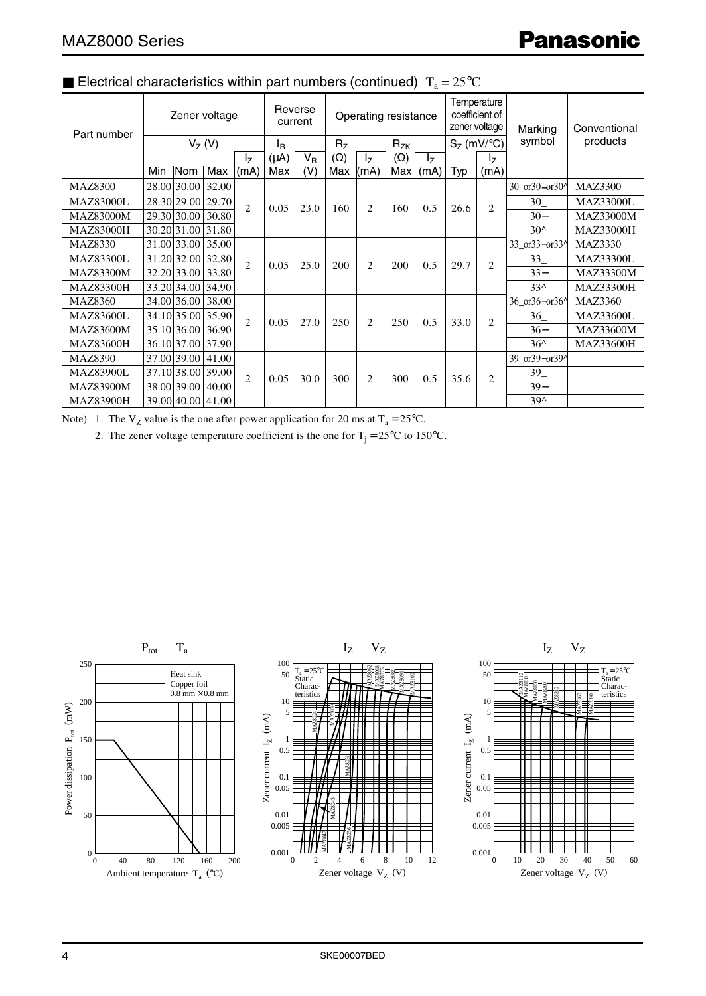| Part number      |     |                | Zener voltage     |                |                      | Reverse<br>current |             | Operating resistance |                       |            | Temperature<br>coefficient of<br>zener voltage |                           | Marking                                      | Conventional     |
|------------------|-----|----------------|-------------------|----------------|----------------------|--------------------|-------------|----------------------|-----------------------|------------|------------------------------------------------|---------------------------|----------------------------------------------|------------------|
|                  |     | $V_7(V)$       |                   |                |                      | ΙŖ                 |             | R <sub>7</sub>       |                       | $R_{ZK}$   |                                                | $S_7$ (mV/ $\mathrm{C}$ ) | symbol                                       | products         |
|                  |     |                |                   | $I_{Z}$        | $V_{B}$<br>$(\mu A)$ |                    | $(\Omega)$  | $I_z$                | $(\Omega)$<br>$I_{Z}$ |            | $I_{Z}$                                        |                           |                                              |                  |
|                  | Min | $\mathsf{Nom}$ | Max               | (mA)           | Max                  | (V)                | Max $ (mA)$ |                      |                       | Max   (mA) | Typ                                            | (mA)                      |                                              |                  |
| <b>MAZ8300</b>   |     | 28.00 30.00    | 32.00             |                |                      |                    |             |                      |                       |            |                                                |                           | 30 or 30-or 30 <sup><math>\circ</math></sup> | <b>MAZ3300</b>   |
| <b>MAZ83000L</b> |     | 28.30 29.00    | 29.70             | $\overline{2}$ | 0.05                 | 23.0               | 160         | $\overline{2}$       | 160                   | 0.5        | 26.6                                           | $\overline{c}$            | 30                                           | <b>MAZ33000L</b> |
| <b>MAZ83000M</b> |     | 29.30 30.00    | 30.80             |                |                      |                    |             |                      |                       |            |                                                |                           | $30 -$                                       | <b>MAZ33000M</b> |
| <b>MAZ83000H</b> |     |                | 30.20 31.00 31.80 |                |                      |                    |             |                      |                       |            |                                                |                           | $30^$                                        | <b>MAZ33000H</b> |
| MAZ8330          |     | 31.00 33.00    | 35.00             | $\mathfrak{D}$ | 0.05                 | 25.0               | 200         | $\mathfrak{2}$       | 200                   | 0.5        | 29.7                                           |                           | 33_or33-or33^                                | <b>MAZ3330</b>   |
| <b>MAZ83300L</b> |     | 31.20 32.00    | 32.80             |                |                      |                    |             |                      |                       |            |                                                | $\overline{c}$            | $33_{-}$                                     | <b>MAZ33300L</b> |
| <b>MAZ83300M</b> |     | 32.20 33.00    | 33.80             |                |                      |                    |             |                      |                       |            |                                                |                           | $33 -$                                       | <b>MAZ33300M</b> |
| <b>MAZ83300H</b> |     | 33.20 34.00    | 34.90             |                |                      |                    |             |                      |                       |            |                                                |                           | $33^$                                        | <b>MAZ33300H</b> |
| <b>MAZ8360</b>   |     | 34.00 36.00    | 38.00             |                |                      |                    | 250         | 2                    | 250                   | 0.5        | 33.0                                           | $\overline{c}$            | 36 or 36-or 36 <sup><math>\land</math></sup> | <b>MAZ3360</b>   |
| <b>MAZ83600L</b> |     |                | 34.10 35.00 35.90 | $\mathfrak{D}$ | 0.05                 | 27.0               |             |                      |                       |            |                                                |                           | $36_{-}$                                     | <b>MAZ33600L</b> |
| <b>MAZ83600M</b> |     | 35.10 36.00    | 36.90             |                |                      |                    |             |                      |                       |            |                                                |                           | $36-$                                        | <b>MAZ33600M</b> |
| MAZ83600H        |     | 36.10 37.00    | 37.90             |                |                      |                    |             |                      |                       |            |                                                |                           | $36^$                                        | <b>MAZ33600H</b> |
| <b>MAZ8390</b>   |     | 37.00 39.00    | 41.00             |                |                      |                    |             |                      |                       |            |                                                |                           | 39_or39-or39^                                |                  |
| <b>MAZ83900L</b> |     | 37.10 38.00    | 39.00             | $\overline{c}$ | 0.05                 | 30.0               | 300         | $\overline{2}$       | 300                   | 0.5        | 35.6                                           | $\overline{c}$            | $39_$                                        |                  |
| <b>MAZ83900M</b> |     | 38.00 39.00    | 40.00             |                |                      |                    |             |                      |                       |            |                                                |                           | $39 -$                                       |                  |
| <b>MAZ83900H</b> |     |                | 39.00 40.00 41.00 |                |                      |                    |             |                      |                       |            |                                                |                           | $39^$                                        |                  |

# **Electrical characteristics within part numbers (continued)**  $T_a = 25^{\circ}C$

Note) 1. The  $V_Z$  value is the one after power application for 20 ms at  $T_a = 25^{\circ}C$ .

2. The zener voltage temperature coefficient is the one for  $T_j = 25^{\circ}C$  to 150°C.

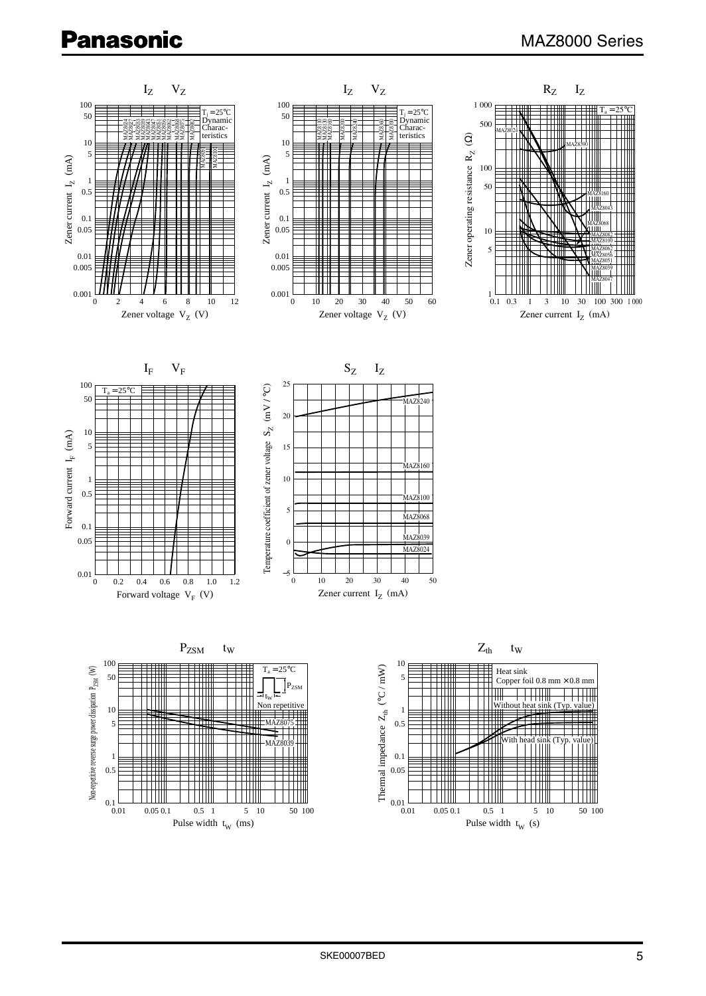